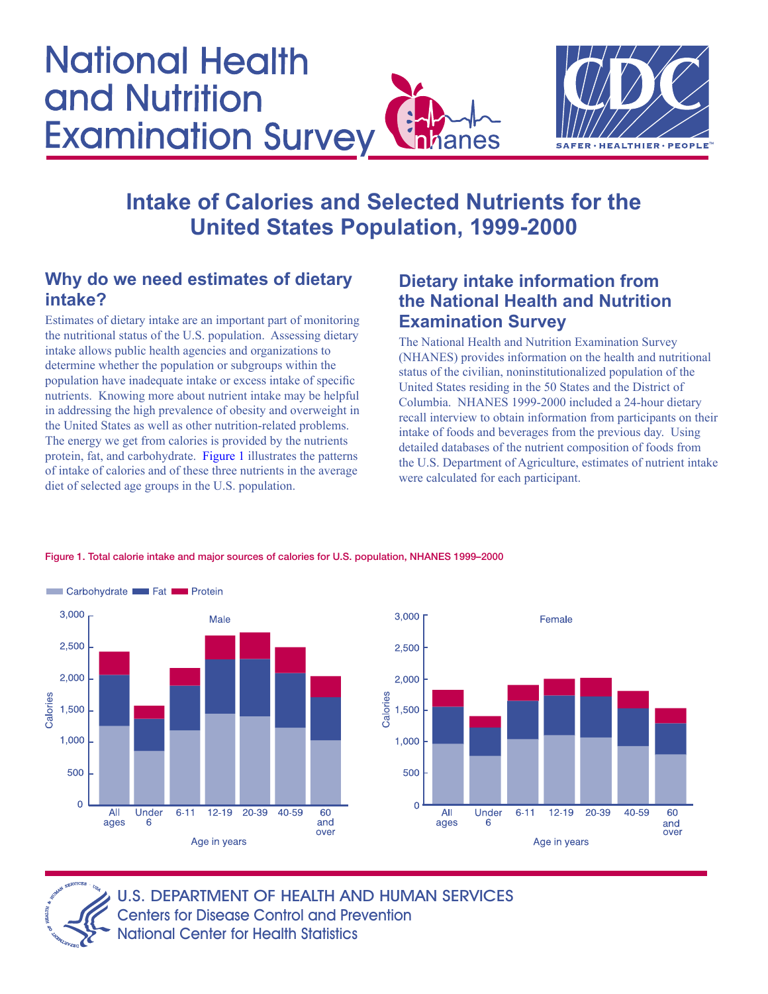<span id="page-0-0"></span>



# **Intake of Calories and Selected Nutrients for the United States Population, 1999-2000**

## **Why do we need estimates of dietary intake?**

Estimates of dietary intake are an important part of monitoring the nutritional status of the U.S. population. Assessing dietary intake allows public health agencies and organizations to determine whether the population or subgroups within the population have inadequate intake or excess intake of specific nutrients. Knowing more about nutrient intake may be helpful in addressing the high prevalence of obesity and overweight in the United States as well as other nutrition-related problems. The energy we get from calories is provided by the nutrients protein, fat, and carbohydrate. Figure 1 illustrates the patterns of intake of calories and of these three nutrients in the average diet of selected age groups in the U.S. population.

# **Dietary intake information from the National Health and Nutrition Examination Survey**

The National Health and Nutrition Examination Survey (NHANES) provides information on the health and nutritional status of the civilian, noninstitutionalized population of the United States residing in the 50 States and the District of Columbia. NHANES 1999-2000 included a 24-hour dietary recall interview to obtain information from participants on their intake of foods and beverages from the previous day. Using detailed databases of the nutrient composition of foods from the U.S. Department of Agriculture, estimates of nutrient intake were calculated for each participant.

Female



#### Figure 1. Total calorie intake and major sources of calories for U.S. population, NHANES 1999–2000

2,500 2,000 1,500 1,000 500  $\overline{0}$ All Under  $6 - 11$  $12 - 19$ 20-39 40-59  $60$ ages and<br>over 6 Age in years



U.S. DEPARTMENT OF HEALTH AND HUMAN SERVICES Centers for Disease Control and Prevention National Center for Health Statistics